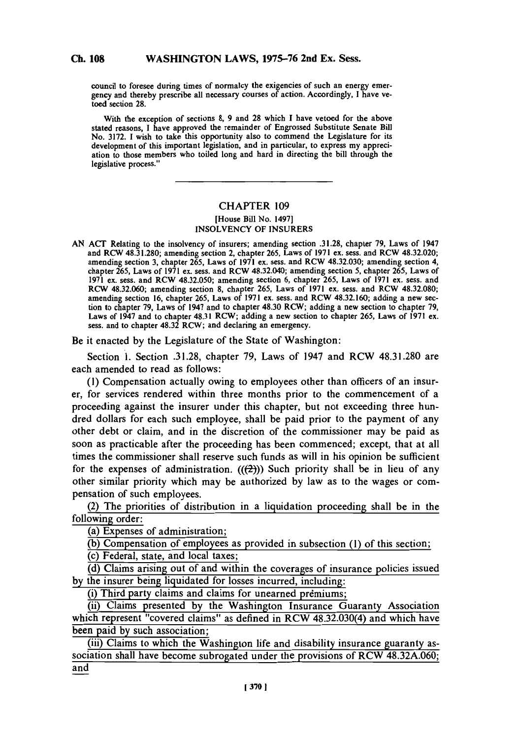**Ch. 108**

council to foresee during times of normalcy the exigencies of such an energy emergency and thereby prescribe all necessary courses of action. Accordingly, I have vetoed section **28.**

With the exception of sections **8, 9** and **28** which **I** have vetoed for the above stated reasons, **I** have approved the remainder of Engrossed Substitute Senate **Bill** No. **3172. 1** wish to take this opportunity also to commend the Legislature for its development of this important legislation, and in particular, to express my appreciation to those members who toiled long and hard in directing the bill through the legislative process."

## **CHAPTER 109**

## [House Bill No. 1497] **INSOLVENCY** OF **INSURERS**

**AN ACT** Relating to the insolvency of insurers; amending section **.31.28,** chapter **79,** Laws of 1947 and RCW **48.31.280;** amending section 2, chapter **265,** Laws of **1971** ex. sess. and RCW 48.32.020; amending section **3,** chapter *265,* Laws of **1971** ex. sess. and RCW **48.32.030;** amending section 4, chapter **265,** Laws of **1971** ex. sess. and RCW 48.32.040; amending section *5,* chapter **265,** Laws of **1971** ex. sess. and RCW **48.32.050;** amending section **6,** chapter **265,** Laws of **1971** ex. sess. and RCW **48.32.060;** amending section **8,** chapter **265,** Laws of **1971** ex. sess. and RCW **48.32.080;** amending section **16,** chapter **265,** Laws of **1971** ex. sess. and RCW **48.32.160;** adding a new section to chapter **79,** Laws of 1947 and to chapter 48.30 RCW; adding a new section to chapter **79,** Laws of 1947 and to chapter 48.31 RCW; adding a new section to chapter **265,** Laws of **1971** ex. sess. and to chapter 48.32 RCW; and declaring an emergency.

Be it enacted **by** the Legislature of the State of Washington:

Section **1.** Section **.31.28,** chapter **79,** Laws of 1947 and RCW **48.31.280** are each amended to read as follows:

**(1)** Compensation actually owing to employees other than officers of an insurer, for services rendered within three months prior to the commencement of a proceeding against the insurer under this chapter, but not exceeding three hundred dollars for each such employee, shall be paid prior to the payment of any other debt or claim, and in the discretion of the commissioner may be paid as soon as practicable after the proceeding has been commenced; except, that at all times the commissioner shall reserve such funds as will in his opinion be sufficient for the expenses of administration.  $((2))$  Such priority shall be in lieu of any other similar priority which may be authorized **by** law as to the wages or compensation of such employees.

(2) The priorities of distribution in a liquidation proceeding shall be in the following order:

(a) Expenses of administration;

**(b)** Compensation of employees as provided in subsection **(1)** of this section;

(c) Federal, state, and local taxes;

**(d)** Claims arising out of and within the coverages of insurance policies issued **by** the insurer being liquidated for losses incurred, including:

(i) Third party claims and claims for unearned premiums;

(ii) Claims presented **by** the Washington Insurance Guaranty Association which represent "covered claims" as defined in RCW 48.32.030(4) and which have been paid **by** such association;

(iii) Claims to which the Washington life and disability insurance guaranty association shall have become subrogated under the provisions of RCW **48.32A.060;** and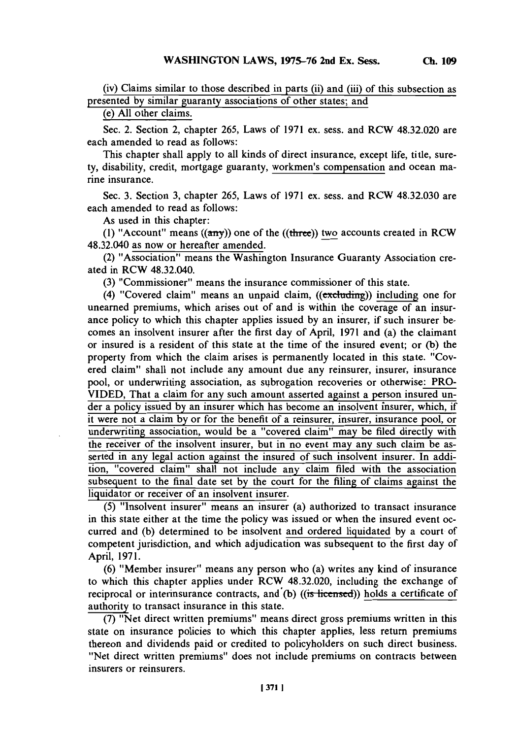(iv) Claims similar to those described in parts (ii) and (iii) of this subsection as presented **by** similar guaranty associations of other states; and

(e) **All** other claims.

Sec. 2. Section 2, chapter *265,* Laws of **1971** ex. sess. and RCW 48.32.020 are each amended to read as follows:

This chapter shall apply to all kinds of direct insurance, except life, title, surety, disability, credit, mortgage guaranty, workmen's compensation and ocean marine insurance.

Sec. **3.** Section **3,** chapter *265,* Laws of **1971** ex. sess. and RCW **48.32.030** are each amended to read as follows:

As used in this chapter:

(1) "Account" means  $((a\pi y))$  one of the  $((three))$  two accounts created in RCW 48.32.040 as now or hereafter amended.

(2) "Association" means the Washington Insurance Guaranty Association created in RCW 48.32.040.

**(3)** "Commissioner" means the insurance commissioner of this state.

(4) "Covered claim" means an unpaid claim,  $((extending))$  including one for unearned premiums, which arises out of and is within the coverage of an insurance policy to which this chapter applies issued **by** an insurer, if such insurer becomes an insolvent insurer after the first day of April, **1971** and (a) the claimant or insured is a resident of this state at the time of the insured event; or **(b)** the property from which the claim arises is permanently located in this state. "Covered claim" shall not include any amount due any reinsurer, insurer, insurance pool, or underwriting association, as subrogation recoveries or otherwise: PRO-**VIDED,** That a claim for any such amount asserted against a person insured under a policy issued **by** an insurer which has become an insolvent insurer, which, if it were not a claim **by** or for the benefit of a reinsurer, insurer, insurance pool, or underwriting association, would be a "covered claim" may be filed directly with the receiver of the insolvent insurer, but in no event may any such claim be asserted in any legal action against the insured of such insolvent insurer. In addition, "covered claim" shall not include any claim filed with the association subsequent to the final date set **by** the court for the filing of claims against the liquidator or receiver of an insolvent insurer.

*(5)* "Insolvent insurer" means an insurer (a) authorized to transact insurance in this state either at the time the policy was issued or when the insured event occurred and **(b)** determined to be insolvent and ordered liquidated **by** a court of competent jurisdiction, and which adjudication was subsequent to the first day of April, **197 1.**

**(6)** "Member insurer" means any person who (a) writes any kind of insurance to which this chapter applies under RCW 48.32.020, including the exchange of reciprocal or interinsurance contracts, and **(b)** ((is licensed)) holds a certificate of authority to transact insurance in this state.

**(7)** "Net direct written premiums" means direct gross premiums written in this state on insurance policies to which this chapter applies, less return premiums thereon and dividends paid or credited to policyholders on such direct business. "Net direct written premiums" does not include premiums on contracts between insurers or reinsurers.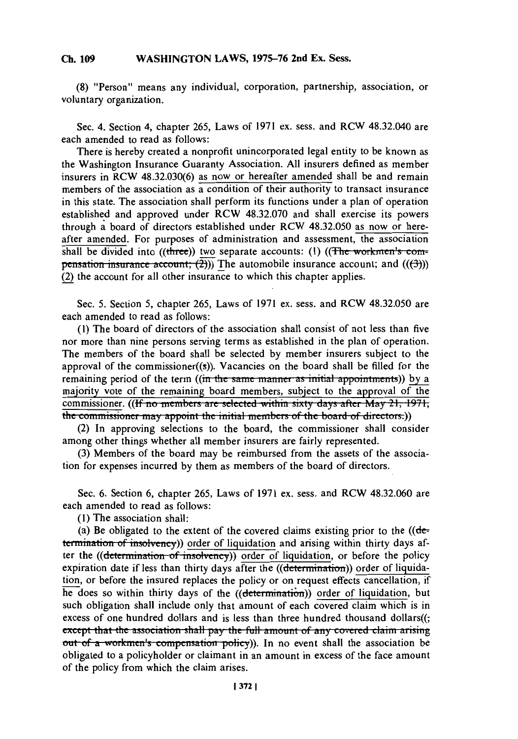## WASHINGTON LAWS, 1975-76 2nd Ex. Sess. **Ch. 109**

**(8)** "Person" means any individual, corporation, partnership, association, or voluntary organization.

Sec. 4. Section 4, chapter **265,** Laws of **1971** ex. sess. and RCW 48.32.040 are each amended to read as follows:

There is hereby created a nonprofit unincorporated legal entity to be known as the Washington Insurance Guaranty Association. **All** insurers defined as member insurers in RCW **48.32.030(6)** as now or hereafter amended shall be and remain members of the association as a condition of their authority to transact insurance in this state. The association shall perform its functions under a plan of operation established and approved under RCW **48.32.070** and shall exercise its powers through a board of directors established under RCW **48.32.050** as now or hereafter amended. For purposes of administration and assessment, the association shall be divided into ((three)) two separate accounts: (1) ((The workmen's com**pensation insurance account;**  $(\overline{2})$ )) The automobile insurance account; and  $((\overline{3}))$ (2) the account for all other insurance to which this chapter applies.

Sec. **5.** Section **5,** chapter **265,** Laws of **1971** ex. sess. and RCW **48.32.050** are each amended to read as follows:

**(1)** The board of directors of the association shall consist of not less than five nor more than nine persons serving terms as established in the plan of operation. The members of the board shall be selected **by** member insurers subject to the approval of the commissioner $((s))$ . Vacancies on the board shall be filled for the remaining period of the term ((in the same manner as initial appointments)) by a majority vote of the remaining board members, subject to the approval of the commissioner. **(<del>(If no members are selected within sixty days after May 21, 1971,</del> the commissioner may appoint the initial members of the board of directors.))** 

(2) In approving selections to the board, the commissioner shall consider among other things whether all member insurers are fairly represented.

**(3)** Members of the board may be reimbursed from the assets of the association for expenses incurred **by** them as members of the board of directors.

Sec. **6.** Section **6,** chapter **265,** Laws of **1971** ex. sess. and RCW **48.32.060** are each amended to read as follows:

**(1)** The association shall:

(a) Be obligated to the extent of the covered claims existing prior to the **((de**termination of insolvency)) order of liquidation and arising within thirty days after the ((determination of *insolvency*)) order of liquidation, or before the policy expiration date if less than thirty days after the  $((determination))$  order of liquidation, or before the insured replaces the policy or on request effects cancellation, if  $\overline{he}$  does so within thirty days of the ((determination)) order of liquidation, but such obligation shall include only that amount of each covered claim which is in excess of one hundred dollars and is less than three hundred thousand dollars((; except that the association shall pay the full amount of any covered claim arising out of a workmen's compensation policy)). In no event shall the association be obligated to a policyholder or claimant in an amount in excess of the face amount of the policy from which the claim arises.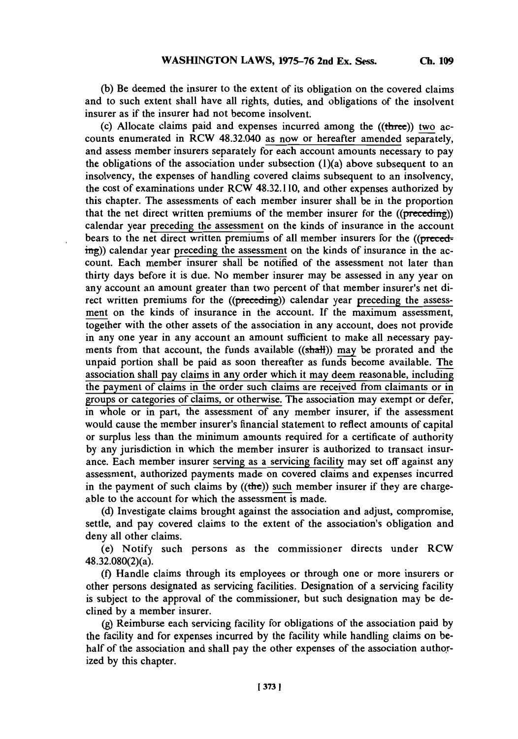**(b)** Be deemed the insurer to the extent of its obligation on the covered claims and to such extent shall have all rights, duties, and obligations of the insolvent insurer as if the insurer had not become insolvent.

(c) Allocate claims paid and expenses incurred among the ((three)) two accounts enumerated in RCW 48.32.040 as now or hereafter amended separately, and assess member insurers separately for each account amounts necessary to pay the obligations of the association under subsection  $(1)(a)$  above subsequent to an insolvency, the expenses of handling covered claims subsequent to an insolvency, the cost of examinations under RCW 48.32.110, and other expenses authorized **by** this chapter. The assessments of each member insurer shall be in the proportion that the net direct written premiums of the member insurer for the ((preceding)) calendar year preceding the assessment on the kinds of insurance in the account bears to the net direct written premiums of all member insurers for the ((preced- $\frac{img}{img}$ ) calendar year preceding the assessment on the kinds of insurance in the account. Each member insurer shall be notified of the assessment not later than thirty days before it is due. No member insurer may be assessed in any year on any account an amount greater than two percent of that member insurer's net direct written premiums for the ((preceding)) calendar year preceding the assessment on the kinds of insurance in the account. **If** the maximum assessment, together with the other assets of the association in any account, does not provide in any one year in any account an amount sufficient to make all necessary payments from that account, the funds available  $((shall))$  may be prorated and the unpaid portion shall be paid as soon thereafter as funds become available. The association shall pay claims in any order which it may deem reasonable, including the payment of claims in the order such claims are received from claimants or in groups or categories of claims, or otherwise. The association may exempt or defer, in whole or in part, the assessment of any member insurer, if the assessment would cause the member insurer's financial statement to reflect amounts of capital or surplus less than the minimum amounts required for a certificate of authority **by** any jurisdiction in which the member insurer is authorized to transact insurance. Each member insurer serving as a servicing facility may set off against any assessment, authorized payments made on covered claims and expenses incurred in the payment of such claims by  $((the))$  such member insurer if they are chargeable to the account for which the assessment is made.

**(d)** Investigate claims brought against the association and adjust, compromise, settle, and pay covered claims to the extent of the association's obligation and deny all other claims.

(e) Notify such persons as the commissioner directs under RCW 48.32.080(2)(a).

**(f)** Handle claims through its employees or through one or more insurers or other persons designated as servicing facilities. Designation of a servicing facility is subject to the approval of the commissioner, but such designation may be declined **by** a member insurer.

**(g)** Reimburse each servicing facility for obligations of the association paid **by** the facility and for expenses incurred **by** the facility while handling claims on behalf of the association and shall pay the other expenses of the association authorized **by** this chapter.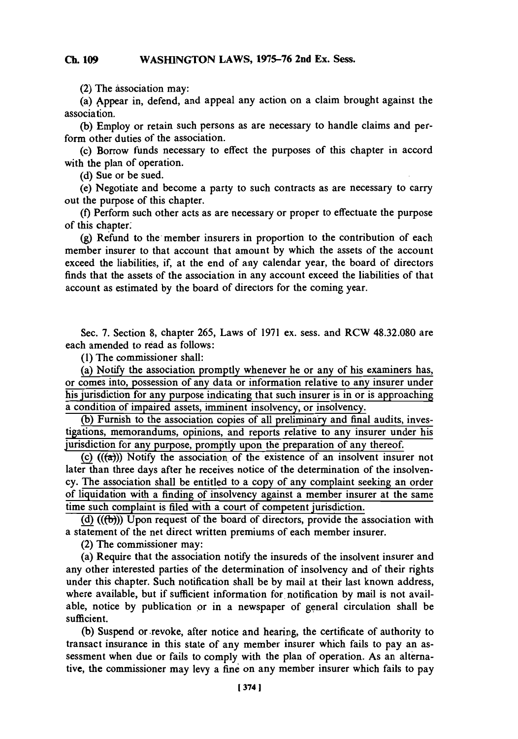## **Ch 109WASHNGTON LAWS, 1975-76 2nd Ex. Sess. Ch. 109**

**(2) The** association may:

(a) kppear in, defend, and appeal any action on a claim brought against the association.

**(b)** Employ or retain such persons as are necessary to handle claims and perform other duties of the association.

(c) Borrow funds necessary to effect the purposes of this chapter in accord with the plan of operation.

**(d)** Sue or be sued.

(e) Negotiate and become a party to such contracts as are necessary to carry out the purpose of this chapter.

**(f)** Perform such other acts as are necessary or proper to effectuate the purpose of this chapter.

(g) Refund to the member insurers in proportion to the contribution of each member insurer to that account that amount **by** which the assets of the account exceed the liabilities, if, at the end of any calendar year, the board of directors finds that the assets of the association in any account exceed the liabilities of that account as estimated **by** the board of directors for the coming year.

Sec. **7.** Section **8,** chapter *265,* Laws of **1971** ex. sess. and RCW **48.32.080** are each amended to read as follows:

**(1)** The commissioner shall:

(a) Notify the association promptly whenever he or any of his examiners has, or comes into, possession of any data or information relative to any insurer under his jurisdiction for any purpose indicating that such insurer is in or is approaching a condition of impaired assets, imminent insolvency, or insolvency.

**(b)** Furnish to the association copies of all preliminary and final audits, investigations, memorandums, opinions, and reports relative to any insurer under his jurisdiction for any purpose, promptly upon the preparation of any thereof.

(c)  $((\alpha))$  Notify the association of the existence of an insolvent insurer not later than three days after he receives notice of the determination of the insolvency. The association shall be entitled to a copy of any complaint seeking an order of liquidation with a finding of insolvency against a member insurer at the same time such complaint is filed with a court **of** competent jurisdiction.

**(d) ((fb)))** Upon request of the board of directors, provide the association with a statement of the net direct written premiums of each member insurer.

(2) The commissioner may:

(a) Require that the association notify the insureds of the insolvent insurer and any other interested parties of the determination of insolvency and of their rights under this chapter. Such notification shall be **by** mail at their last known address, where available, but if sufficient information for notification by mail is not available, notice **by** publication or in a newspaper of general circulation shall be sufficient.

**(b)** Suspend or revoke, after notice and hearing, the certificate of authority to transact insurance in this state of any member insurer which fails to pay an assessment when due or fails to comply with the plan of operation. As an alternative, the commissioner may levy a fine' on any member insurer which fails to pay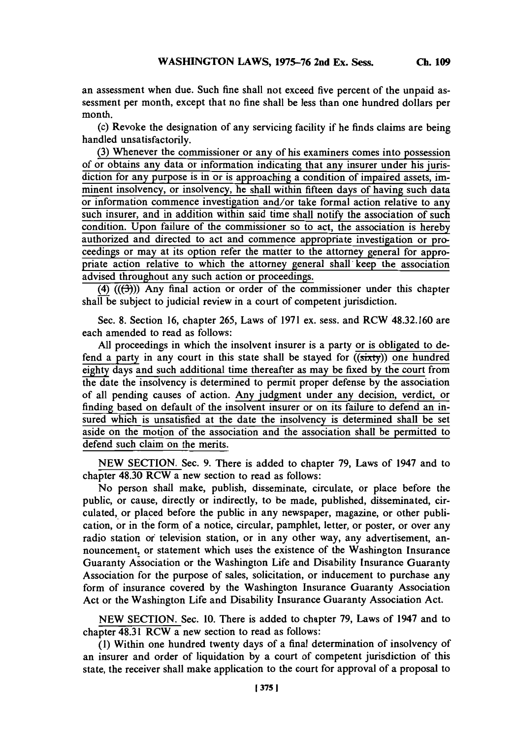an assessment when due. Such fine shall not exceed five percent of the unpaid assessment per month, except that no fine shall be less than one hundred dollars per month.

(c) Revoke the designation of any servicing facility if he finds claims are being handled unsatisfactorily.

**(3)** Whenever the commissioner or any of his examiners comes into possession of or obtains any data or information indicating that any insurer under his jurisdiction for any purpose is in or is approaching a condition of impaired assets, imminent insolvency, or insolvency, he shall within fifteen days of having such data or information commence investigation and/or take formal action relative to an such insurer, and in addition within said time shall notify the association of such condition. Upon failure of the commissioner so to act, the association is **hereby** authorized and directed to act and commence appropriate investigation or proceedings or may at its option refer the matter to the attorney general for appropriate action relative to which the attorney general shall keep the association advised throughout any such action or proceedings.

(4)  $((\rightarrow))$  Any final action or order of the commissioner under this chapter shall be subject to judicial review in a court of competent jurisdiction.

Sec. **8.** Section **16,** chapter **265,** Laws of **1971** ex. sess. and RCW **48.32.160** are each amended to read as follows:

**All** proceedings in which the insolvent insurer is a party or is obligated to defend a party in any court in this state shall be stayed for ((sixty)) one hundred eighty days and such additional time thereafter as may be fixed by the court from the date the insolvency is determined to permit proper defense **by** the association of all pending causes of action. Any judgment under any decision, verdict, or finding based on default of the insolvent insurer or on its failure to defend an insured which is unsatisfied at the date the insolvency is determined shall be set aside on the motion of the association and the association shall be permitted to defend such claim on the merits.

**NEW SECTION.** Sec. **9.** There is added to chapter **79,** Laws of 1947 and to chapter 48.30 RCW a new section to read as follows:

No person shall make, publish, disseminate, circulate, or place before the public, or cause, directly or indirectly, to be made, published, disseminated, circulated, or placed before the public in any newspaper, magazine, or other publication, or in the form **'of** a notice, circular, pamphlet, letter, or poster, or over any radio station of television station, or in any other way, any advertisement, announcement, or statement which uses the existence of the Washington Insurance Guaranty Association or the Washington Life and Disability Insurance Guaranty Association for the purpose of sales, solicitation, or inducement to purchase any form of insurance covered **by** the Washington Insurance Guaranty Association Act or the Washington Life and Disability Insurance Guaranty Association Act.

**NEW** SECTION. Sec. **10.** There is added to chapter **79,** Laws of 1947 and to chapter 48.31 RCW a new section to read as follows:

**(1)** Within one hundred twenty days of a final determination of insolvency of an insurer and order of liquidation **by** a court of competent jurisdiction of this state, the receiver shall make application to the court for approval of a proposal to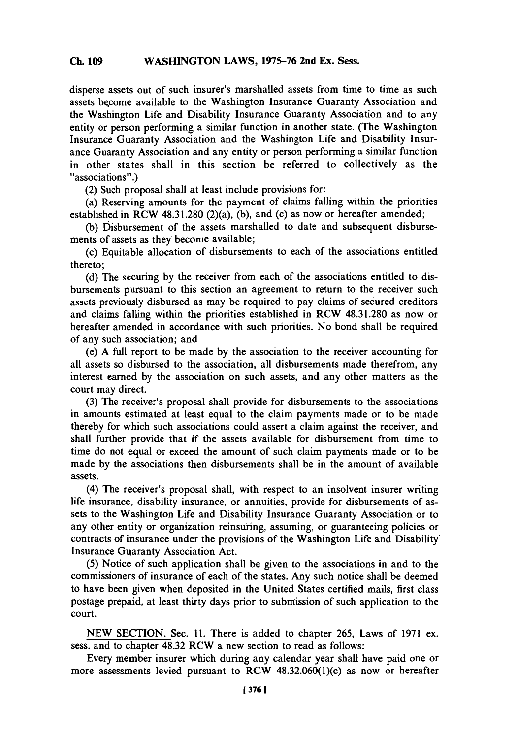disperse assets out of such insurer's marshalled assets from time to time as such assets become available to the Washington Insurance Guaranty Association and the Washington Life and Disability Insurance Guaranty Association and to any entity or person performing a similar function in another state. (The Washington Insurance Guaranty Association and the Washington Life and Disability Insurance Guaranty Association and any entity or person performing a similar function in other states shall in this section be referred to collectively as the "associations".)

(2) Such proposal shall at least include provisions for:

(a) Reserving amounts for the payment of claims falling within the priorities established in RCW **48.31.280** (2)(a), **(b),** and (c) as now or hereafter amended;

**(b)** Disbursement of the assets marshalled to date and subsequent disbursements of assets as they become available;

(c) Equitable allocation of disbursements to each of the associations entitled thereto;

**(d)** The securing **by** the receiver from each of the associations entitled to disbursements pursuant to this section an agreement to return to the receiver such assets previously disbursed as may be required to pay claims of secured creditors and claims falling within the priorities established in RCW 48.31.280 as now or hereafter amended in accordance with such priorities. No bond shall be required of any such association; and

(e) **A** full report to be made **by** the association to the receiver accounting for all assets so disbursed to the association, all disbursements made therefrom, any interest earned **by** the association on such assets, and any other matters as the court may direct.

**(3)** The receiver's proposal shall provide for disbursements to the associations in amounts estimated at least equal to the claim payments made or to be made thereby for which such associations could assert a claim against the receiver, and shall further provide that if the assets available for disbursement from time to time do not equal or exceed the amount of such claim payments made or to be made **by** the associations then disbursements shall be in the amount of available assets.

(4) The receiver's proposal shall, with respect to an insolvent insurer writing life insurance, disability insurance, or annuities, provide for disbursements of assets to the Washington Life and Disability Insurance Guaranty Association or to any other entity or organization reinsuring, assuming, or guaranteeing policies or contracts of insurance under the provisions of the Washington Life and Disability\* Insurance Guaranty Association Act.

*(5)* Notice of such application shall be given to the associations in and to the commissioners of insurance of each of the states. Any such notice shall be deemed to have been given when deposited in the United States certified mails, first class postage prepaid, at least thirty days prior to submission of such application to the court.

**NEW** SECTrION. Sec. **11.** There is added to chapter *265,* Laws of **1971** ex. sess. and to chapter 48.32 RCW a new section to read as follows:

Every member insurer which during any calendar year shall have paid one or more assessments levied pursuant to RCW  $48.32.060(1)(c)$  as now or hereafter